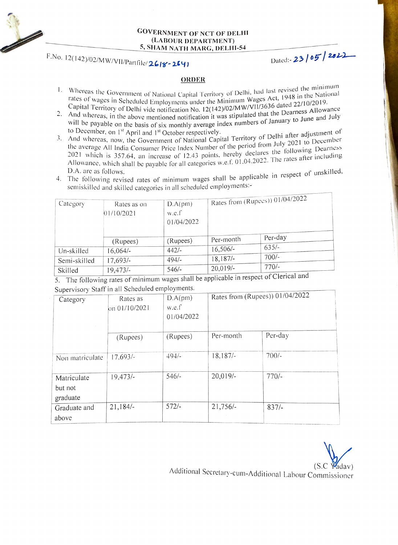

## GOVERNMENT OF NCT OF DELH (LABOUR DEPARTMENT) 5, SHAM NATH MARG, DELHI-54

## F.No. 12(142)/02/MW/VII/Partfile/2618-264) Dated:-23 05 2022

## ORDER

- Whereas the Government of National Capital Territory of Delhi, had last revised the<br>rates of wages in School in a material of the Michael Wages Act, 1948 in the rates of wages in Scheduled Employments under the Minimum Wages Act, 1948 in the National<br>rates of wages in Scheduled Employments under the Minimum Wages Act, 1948 in the National the minimum the Softwages in Scheduled Employments under the Minimum wages *i*.e., or the 22/10/2019.<br>Capital Territory of Delhi vide notification No. 12(142)/02/MW/VII/3636 dated 22/10/2019.
- $\sim$  Cupital Territory of Delhi vide notification No. 12(142)/02/MW/V11/2020<br>2. And whereas, in the above mentioned notification it was stipulated that the Dearness F Will be payable on the basis of six monthly average index numbers of January to June and July<br>to December 2, 18 in the unit in the unit average index numbers of January to June and July
- to December, on 1<sup>st</sup> April and 1<sup>st</sup> October respectively.<br>And whereas, now, the Government of National Capital Territory of Delhi after adjustment of<br>the average All Let's Government of National Capital Territory of Delh the average All India Consumer Price Index Number of the period from July 2021 to December<br>2021 which is 2007. 2021 which is 357.64, an increase of 12.43 points, hereby declares the following Dearness<br>Allowance, which shall be payable for all categories w.e.f. 01.04.2022. The rates after including<br>D.A. are as follows. Allowance, which shall be payable for all categories w.e.f.  $01.04.2022$ . The rates after including  $D_A$  are as  $6.1$ .
- D.A. are as follows.<br>4. The following revised rates of minimum wages shall be applicable in respect of unskill<br>semiskilled and skilled asteogries in all seheduled employments:semiskilled and skilled categories in all scheduled employments

| Category     | Rates as on<br>01/10/2021 | D.A(pm)<br>w.e.f<br>01/04/2022 | Rates from (Rupees)) $01/04/2022$ |                                                                                              |
|--------------|---------------------------|--------------------------------|-----------------------------------|----------------------------------------------------------------------------------------------|
|              | (Rupees)                  | (Rupees)                       | Per-month                         | Per-day                                                                                      |
| Un-skilled   | $16,064/-$                | $442/-$                        | $16,506/-$                        | $635/-$                                                                                      |
| Semi-skilled | 17,693/-                  | $494/-$                        | $18,187/-$                        | $700/-$                                                                                      |
| Skilled      | 19,473/                   | $546/-$<br>.                   | $20,019/-$                        | $770/-$<br>$\overline{H}$ 11 $\overline{H}$ = $\overline{H}$ and $\overline{H}$ Clarical and |

5. The following rates of minimum wages shall be applicable in respect of Clerical and Supervisory Staff in all Scheduled employments.

| $\sigma$        |               |            |                                 |         |  |  |  |
|-----------------|---------------|------------|---------------------------------|---------|--|--|--|
| Category        | Rates as      | D.A(pm)    | Rates from (Rupees)) 01/04/2022 |         |  |  |  |
|                 | on 01/10/2021 | w.e.f      |                                 |         |  |  |  |
|                 |               | 01/04/2022 |                                 |         |  |  |  |
|                 |               |            |                                 |         |  |  |  |
|                 | (Rupees)      | (Rupees)   | Per-month                       | Per-day |  |  |  |
| Non matriculate | $17.693/-$    | $494/-$    | $18.187/-$                      | $700/-$ |  |  |  |
| Matriculate     | 19,473/       | $546/-$    | $20,019/$ -                     | $770/-$ |  |  |  |
| but not         |               |            |                                 |         |  |  |  |
| graduate        |               |            |                                 |         |  |  |  |
| Graduate and    | 21,184/       | $572/-$    | $21,756/-$                      | $837/-$ |  |  |  |
| above           |               |            |                                 |         |  |  |  |

(S.C Wadav)<br>Additional Secretary-cum-Additional Labour Commissioner